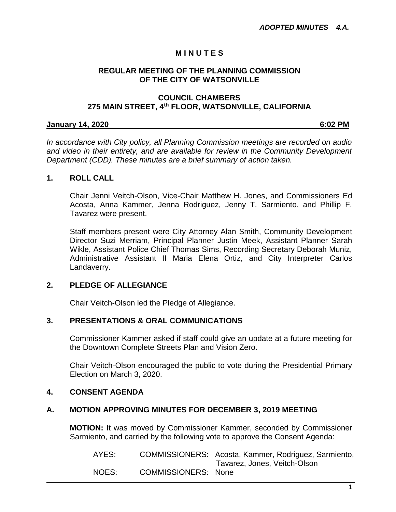# **M I N U T E S**

#### **REGULAR MEETING OF THE PLANNING COMMISSION OF THE CITY OF WATSONVILLE**

#### **COUNCIL CHAMBERS 275 MAIN STREET, 4th FLOOR, WATSONVILLE, CALIFORNIA**

#### **January 14, 2020 6:02 PM**

*In accordance with City policy, all Planning Commission meetings are recorded on audio and video in their entirety, and are available for review in the Community Development Department (CDD). These minutes are a brief summary of action taken.*

#### **1. ROLL CALL**

Chair Jenni Veitch-Olson, Vice-Chair Matthew H. Jones, and Commissioners Ed Acosta, Anna Kammer, Jenna Rodriguez, Jenny T. Sarmiento, and Phillip F. Tavarez were present.

Staff members present were City Attorney Alan Smith, Community Development Director Suzi Merriam, Principal Planner Justin Meek, Assistant Planner Sarah Wikle, Assistant Police Chief Thomas Sims, Recording Secretary Deborah Muniz, Administrative Assistant II Maria Elena Ortiz, and City Interpreter Carlos Landaverry.

### **2. PLEDGE OF ALLEGIANCE**

Chair Veitch-Olson led the Pledge of Allegiance.

### **3. PRESENTATIONS & ORAL COMMUNICATIONS**

Commissioner Kammer asked if staff could give an update at a future meeting for the Downtown Complete Streets Plan and Vision Zero.

Chair Veitch-Olson encouraged the public to vote during the Presidential Primary Election on March 3, 2020.

### **4. CONSENT AGENDA**

### **A. MOTION APPROVING MINUTES FOR DECEMBER 3, 2019 MEETING**

**MOTION:** It was moved by Commissioner Kammer, seconded by Commissioner Sarmiento, and carried by the following vote to approve the Consent Agenda:

| AYES: |                            | COMMISSIONERS: Acosta, Kammer, Rodriguez, Sarmiento, |
|-------|----------------------------|------------------------------------------------------|
|       |                            | Tavarez, Jones, Veitch-Olson                         |
| NOES: | <b>COMMISSIONERS:</b> None |                                                      |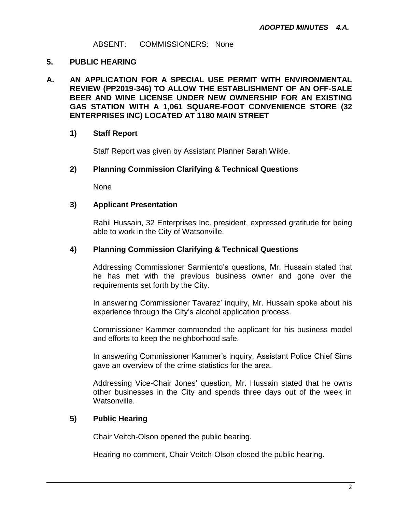ABSENT: COMMISSIONERS: None

## **5. PUBLIC HEARING**

**A. AN APPLICATION FOR A SPECIAL USE PERMIT WITH ENVIRONMENTAL REVIEW (PP2019-346) TO ALLOW THE ESTABLISHMENT OF AN OFF-SALE BEER AND WINE LICENSE UNDER NEW OWNERSHIP FOR AN EXISTING GAS STATION WITH A 1,061 SQUARE-FOOT CONVENIENCE STORE (32 ENTERPRISES INC) LOCATED AT 1180 MAIN STREET**

# **1) Staff Report**

Staff Report was given by Assistant Planner Sarah Wikle.

# **2) Planning Commission Clarifying & Technical Questions**

None

# **3) Applicant Presentation**

Rahil Hussain, 32 Enterprises Inc. president, expressed gratitude for being able to work in the City of Watsonville.

### **4) Planning Commission Clarifying & Technical Questions**

Addressing Commissioner Sarmiento's questions, Mr. Hussain stated that he has met with the previous business owner and gone over the requirements set forth by the City.

In answering Commissioner Tavarez' inquiry, Mr. Hussain spoke about his experience through the City's alcohol application process.

Commissioner Kammer commended the applicant for his business model and efforts to keep the neighborhood safe.

In answering Commissioner Kammer's inquiry, Assistant Police Chief Sims gave an overview of the crime statistics for the area.

Addressing Vice-Chair Jones' question, Mr. Hussain stated that he owns other businesses in the City and spends three days out of the week in Watsonville.

# **5) Public Hearing**

Chair Veitch-Olson opened the public hearing.

Hearing no comment, Chair Veitch-Olson closed the public hearing.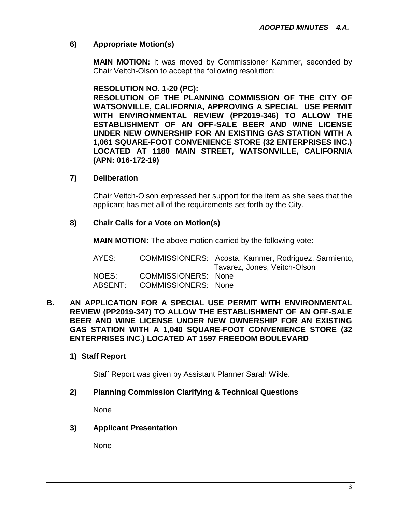# **6) Appropriate Motion(s)**

**MAIN MOTION:** It was moved by Commissioner Kammer, seconded by Chair Veitch-Olson to accept the following resolution:

# **RESOLUTION NO. 1-20 (PC):**

**RESOLUTION OF THE PLANNING COMMISSION OF THE CITY OF WATSONVILLE, CALIFORNIA, APPROVING A SPECIAL USE PERMIT WITH ENVIRONMENTAL REVIEW (PP2019-346) TO ALLOW THE ESTABLISHMENT OF AN OFF-SALE BEER AND WINE LICENSE UNDER NEW OWNERSHIP FOR AN EXISTING GAS STATION WITH A 1,061 SQUARE-FOOT CONVENIENCE STORE (32 ENTERPRISES INC.) LOCATED AT 1180 MAIN STREET, WATSONVILLE, CALIFORNIA (APN: 016-172-19)**

# **7) Deliberation**

Chair Veitch-Olson expressed her support for the item as she sees that the applicant has met all of the requirements set forth by the City.

# **8) Chair Calls for a Vote on Motion(s)**

**MAIN MOTION:** The above motion carried by the following vote:

| AYES:   |                            | COMMISSIONERS: Acosta, Kammer, Rodriguez, Sarmiento,<br>Tavarez, Jones, Veitch-Olson |
|---------|----------------------------|--------------------------------------------------------------------------------------|
| NOES:   | <b>COMMISSIONERS: None</b> |                                                                                      |
| ABSENT: | <b>COMMISSIONERS: None</b> |                                                                                      |

#### **B. AN APPLICATION FOR A SPECIAL USE PERMIT WITH ENVIRONMENTAL REVIEW (PP2019-347) TO ALLOW THE ESTABLISHMENT OF AN OFF-SALE BEER AND WINE LICENSE UNDER NEW OWNERSHIP FOR AN EXISTING GAS STATION WITH A 1,040 SQUARE-FOOT CONVENIENCE STORE (32 ENTERPRISES INC.) LOCATED AT 1597 FREEDOM BOULEVARD**

# **1) Staff Report**

Staff Report was given by Assistant Planner Sarah Wikle.

# **2) Planning Commission Clarifying & Technical Questions**

None

**3) Applicant Presentation**

None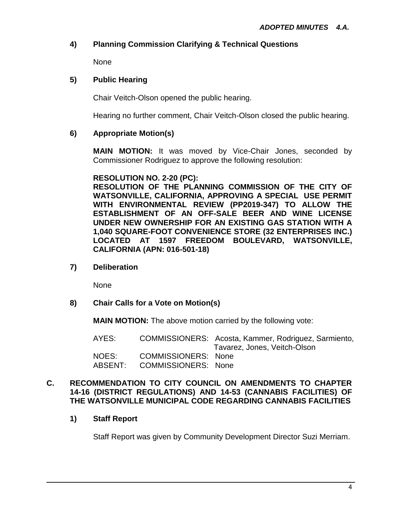# **4) Planning Commission Clarifying & Technical Questions**

None

## **5) Public Hearing**

Chair Veitch-Olson opened the public hearing.

Hearing no further comment, Chair Veitch-Olson closed the public hearing.

# **6) Appropriate Motion(s)**

**MAIN MOTION:** It was moved by Vice-Chair Jones, seconded by Commissioner Rodriguez to approve the following resolution:

### **RESOLUTION NO. 2-20 (PC):**

**RESOLUTION OF THE PLANNING COMMISSION OF THE CITY OF WATSONVILLE, CALIFORNIA, APPROVING A SPECIAL USE PERMIT WITH ENVIRONMENTAL REVIEW (PP2019-347) TO ALLOW THE ESTABLISHMENT OF AN OFF-SALE BEER AND WINE LICENSE UNDER NEW OWNERSHIP FOR AN EXISTING GAS STATION WITH A 1,040 SQUARE-FOOT CONVENIENCE STORE (32 ENTERPRISES INC.) LOCATED AT 1597 FREEDOM BOULEVARD, WATSONVILLE, CALIFORNIA (APN: 016-501-18)**

**7) Deliberation**

None

**8) Chair Calls for a Vote on Motion(s)**

**MAIN MOTION:** The above motion carried by the following vote:

| AYES:            |                                                          | COMMISSIONERS: Acosta, Kammer, Rodriguez, Sarmiento,<br>Tavarez, Jones, Veitch-Olson |
|------------------|----------------------------------------------------------|--------------------------------------------------------------------------------------|
| NOES:<br>ABSENT: | <b>COMMISSIONERS: None</b><br><b>COMMISSIONERS: None</b> |                                                                                      |
|                  |                                                          |                                                                                      |

#### **C. RECOMMENDATION TO CITY COUNCIL ON AMENDMENTS TO CHAPTER 14-16 (DISTRICT REGULATIONS) AND 14-53 (CANNABIS FACILITIES) OF THE WATSONVILLE MUNICIPAL CODE REGARDING CANNABIS FACILITIES**

**1) Staff Report**

Staff Report was given by Community Development Director Suzi Merriam.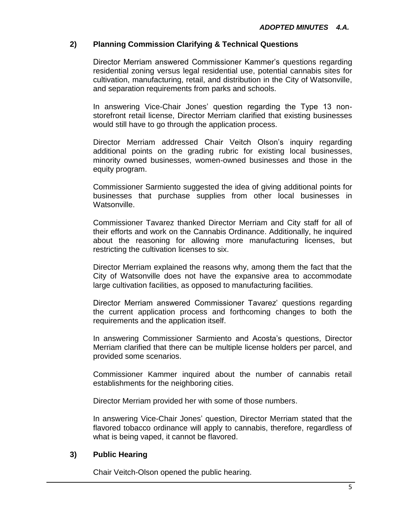# **2) Planning Commission Clarifying & Technical Questions**

Director Merriam answered Commissioner Kammer's questions regarding residential zoning versus legal residential use, potential cannabis sites for cultivation, manufacturing, retail, and distribution in the City of Watsonville, and separation requirements from parks and schools.

In answering Vice-Chair Jones' question regarding the Type 13 nonstorefront retail license, Director Merriam clarified that existing businesses would still have to go through the application process.

Director Merriam addressed Chair Veitch Olson's inquiry regarding additional points on the grading rubric for existing local businesses, minority owned businesses, women-owned businesses and those in the equity program.

Commissioner Sarmiento suggested the idea of giving additional points for businesses that purchase supplies from other local businesses in Watsonville.

Commissioner Tavarez thanked Director Merriam and City staff for all of their efforts and work on the Cannabis Ordinance. Additionally, he inquired about the reasoning for allowing more manufacturing licenses, but restricting the cultivation licenses to six.

Director Merriam explained the reasons why, among them the fact that the City of Watsonville does not have the expansive area to accommodate large cultivation facilities, as opposed to manufacturing facilities.

Director Merriam answered Commissioner Tavarez' questions regarding the current application process and forthcoming changes to both the requirements and the application itself.

In answering Commissioner Sarmiento and Acosta's questions, Director Merriam clarified that there can be multiple license holders per parcel, and provided some scenarios.

Commissioner Kammer inquired about the number of cannabis retail establishments for the neighboring cities.

Director Merriam provided her with some of those numbers.

In answering Vice-Chair Jones' question, Director Merriam stated that the flavored tobacco ordinance will apply to cannabis, therefore, regardless of what is being vaped, it cannot be flavored.

### **3) Public Hearing**

Chair Veitch-Olson opened the public hearing.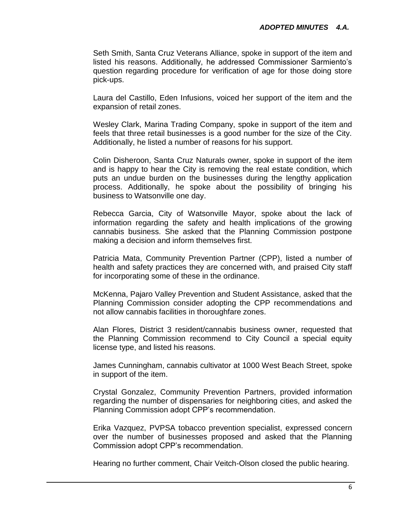Seth Smith, Santa Cruz Veterans Alliance, spoke in support of the item and listed his reasons. Additionally, he addressed Commissioner Sarmiento's question regarding procedure for verification of age for those doing store pick-ups.

Laura del Castillo, Eden Infusions, voiced her support of the item and the expansion of retail zones.

Wesley Clark, Marina Trading Company, spoke in support of the item and feels that three retail businesses is a good number for the size of the City. Additionally, he listed a number of reasons for his support.

Colin Disheroon, Santa Cruz Naturals owner, spoke in support of the item and is happy to hear the City is removing the real estate condition, which puts an undue burden on the businesses during the lengthy application process. Additionally, he spoke about the possibility of bringing his business to Watsonville one day.

Rebecca Garcia, City of Watsonville Mayor, spoke about the lack of information regarding the safety and health implications of the growing cannabis business. She asked that the Planning Commission postpone making a decision and inform themselves first.

Patricia Mata, Community Prevention Partner (CPP), listed a number of health and safety practices they are concerned with, and praised City staff for incorporating some of these in the ordinance.

McKenna, Pajaro Valley Prevention and Student Assistance, asked that the Planning Commission consider adopting the CPP recommendations and not allow cannabis facilities in thoroughfare zones.

Alan Flores, District 3 resident/cannabis business owner, requested that the Planning Commission recommend to City Council a special equity license type, and listed his reasons.

James Cunningham, cannabis cultivator at 1000 West Beach Street, spoke in support of the item.

Crystal Gonzalez, Community Prevention Partners, provided information regarding the number of dispensaries for neighboring cities, and asked the Planning Commission adopt CPP's recommendation.

Erika Vazquez, PVPSA tobacco prevention specialist, expressed concern over the number of businesses proposed and asked that the Planning Commission adopt CPP's recommendation.

Hearing no further comment, Chair Veitch-Olson closed the public hearing.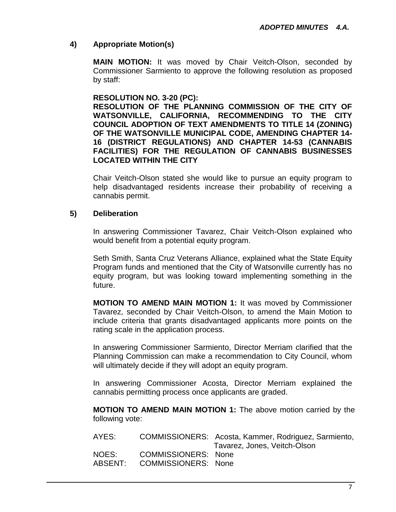# **4) Appropriate Motion(s)**

**MAIN MOTION:** It was moved by Chair Veitch-Olson, seconded by Commissioner Sarmiento to approve the following resolution as proposed by staff:

#### **RESOLUTION NO. 3-20 (PC):**

**RESOLUTION OF THE PLANNING COMMISSION OF THE CITY OF WATSONVILLE, CALIFORNIA, RECOMMENDING TO THE CITY COUNCIL ADOPTION OF TEXT AMENDMENTS TO TITLE 14 (ZONING) OF THE WATSONVILLE MUNICIPAL CODE, AMENDING CHAPTER 14- 16 (DISTRICT REGULATIONS) AND CHAPTER 14-53 (CANNABIS FACILITIES) FOR THE REGULATION OF CANNABIS BUSINESSES LOCATED WITHIN THE CITY**

Chair Veitch-Olson stated she would like to pursue an equity program to help disadvantaged residents increase their probability of receiving a cannabis permit.

### **5) Deliberation**

In answering Commissioner Tavarez, Chair Veitch-Olson explained who would benefit from a potential equity program.

Seth Smith, Santa Cruz Veterans Alliance, explained what the State Equity Program funds and mentioned that the City of Watsonville currently has no equity program, but was looking toward implementing something in the future.

**MOTION TO AMEND MAIN MOTION 1:** It was moved by Commissioner Tavarez, seconded by Chair Veitch-Olson, to amend the Main Motion to include criteria that grants disadvantaged applicants more points on the rating scale in the application process.

In answering Commissioner Sarmiento, Director Merriam clarified that the Planning Commission can make a recommendation to City Council, whom will ultimately decide if they will adopt an equity program.

In answering Commissioner Acosta, Director Merriam explained the cannabis permitting process once applicants are graded.

**MOTION TO AMEND MAIN MOTION 1:** The above motion carried by the following vote:

| AYES:   |                            | COMMISSIONERS: Acosta, Kammer, Rodriguez, Sarmiento, |
|---------|----------------------------|------------------------------------------------------|
|         |                            | Tavarez, Jones, Veitch-Olson                         |
| NOES:   | <b>COMMISSIONERS: None</b> |                                                      |
| ABSENT: | <b>COMMISSIONERS: None</b> |                                                      |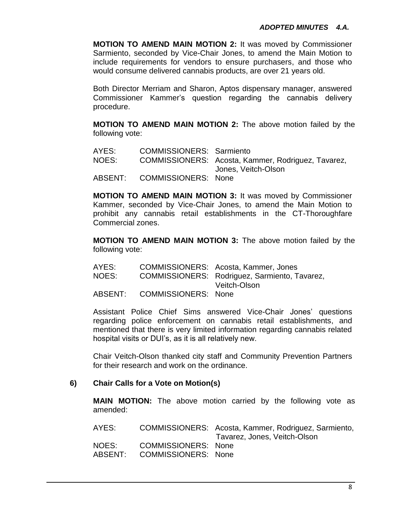**MOTION TO AMEND MAIN MOTION 2:** It was moved by Commissioner Sarmiento, seconded by Vice-Chair Jones, to amend the Main Motion to include requirements for vendors to ensure purchasers, and those who would consume delivered cannabis products, are over 21 years old.

Both Director Merriam and Sharon, Aptos dispensary manager, answered Commissioner Kammer's question regarding the cannabis delivery procedure.

**MOTION TO AMEND MAIN MOTION 2:** The above motion failed by the following vote:

| AYES: | <b>COMMISSIONERS: Sarmiento</b> |                                                    |
|-------|---------------------------------|----------------------------------------------------|
| NOES: |                                 | COMMISSIONERS: Acosta, Kammer, Rodriguez, Tavarez, |
|       |                                 | Jones, Veitch-Olson                                |
|       | ABSENT: COMMISSIONERS: None     |                                                    |

**MOTION TO AMEND MAIN MOTION 3:** It was moved by Commissioner Kammer, seconded by Vice-Chair Jones, to amend the Main Motion to prohibit any cannabis retail establishments in the CT-Thoroughfare Commercial zones.

**MOTION TO AMEND MAIN MOTION 3:** The above motion failed by the following vote:

| AYES:   |                            | COMMISSIONERS: Acosta, Kammer, Jones          |
|---------|----------------------------|-----------------------------------------------|
| NOES:   |                            | COMMISSIONERS: Rodriguez, Sarmiento, Tavarez, |
|         |                            | Veitch-Olson                                  |
| ABSENT: | <b>COMMISSIONERS: None</b> |                                               |

Assistant Police Chief Sims answered Vice-Chair Jones' questions regarding police enforcement on cannabis retail establishments, and mentioned that there is very limited information regarding cannabis related hospital visits or DUI's, as it is all relatively new.

Chair Veitch-Olson thanked city staff and Community Prevention Partners for their research and work on the ordinance.

### **6) Chair Calls for a Vote on Motion(s)**

**MAIN MOTION:** The above motion carried by the following vote as amended:

| NOES:<br>COMMISSIONERS: None          | AYES: | COMMISSIONERS: Acosta, Kammer, Rodriguez, Sarmiento,<br>Tavarez, Jones, Veitch-Olson |  |
|---------------------------------------|-------|--------------------------------------------------------------------------------------|--|
| ABSENT:<br><b>COMMISSIONERS: None</b> |       |                                                                                      |  |